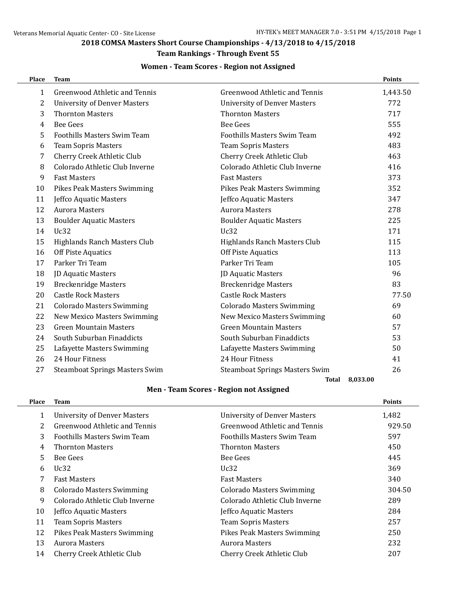# **2018 COMSA Masters Short Course Championships - 4/13/2018 to 4/15/2018**

### **Team Rankings - Through Event 55**

#### **Women - Team Scores - Region not Assigned**

| Place        | <b>Team</b>                           |                                       | <b>Points</b> |
|--------------|---------------------------------------|---------------------------------------|---------------|
| $\mathbf{1}$ | <b>Greenwood Athletic and Tennis</b>  | Greenwood Athletic and Tennis         | 1,443.50      |
| 2            | <b>University of Denver Masters</b>   | <b>University of Denver Masters</b>   | 772           |
| 3            | <b>Thornton Masters</b>               | <b>Thornton Masters</b>               | 717           |
| 4            | <b>Bee Gees</b>                       | <b>Bee Gees</b>                       | 555           |
| 5            | <b>Foothills Masters Swim Team</b>    | <b>Foothills Masters Swim Team</b>    | 492           |
| 6            | <b>Team Sopris Masters</b>            | <b>Team Sopris Masters</b>            | 483           |
| 7            | Cherry Creek Athletic Club            | Cherry Creek Athletic Club            | 463           |
| 8            | Colorado Athletic Club Inverne        | Colorado Athletic Club Inverne        | 416           |
| 9            | <b>Fast Masters</b>                   | <b>Fast Masters</b>                   | 373           |
| 10           | <b>Pikes Peak Masters Swimming</b>    | <b>Pikes Peak Masters Swimming</b>    | 352           |
| 11           | Jeffco Aquatic Masters                | Jeffco Aquatic Masters                | 347           |
| 12           | <b>Aurora Masters</b>                 | <b>Aurora Masters</b>                 | 278           |
| 13           | <b>Boulder Aquatic Masters</b>        | <b>Boulder Aquatic Masters</b>        | 225           |
| 14           | Uc32                                  | Uc32                                  | 171           |
| 15           | Highlands Ranch Masters Club          | Highlands Ranch Masters Club          | 115           |
| 16           | Off Piste Aquatics                    | Off Piste Aquatics                    | 113           |
| 17           | Parker Tri Team                       | Parker Tri Team                       | 105           |
| 18           | JD Aquatic Masters                    | JD Aquatic Masters                    | 96            |
| 19           | <b>Breckenridge Masters</b>           | <b>Breckenridge Masters</b>           | 83            |
| 20           | <b>Castle Rock Masters</b>            | <b>Castle Rock Masters</b>            | 77.50         |
| 21           | <b>Colorado Masters Swimming</b>      | <b>Colorado Masters Swimming</b>      | 69            |
| 22           | <b>New Mexico Masters Swimming</b>    | <b>New Mexico Masters Swimming</b>    | 60            |
| 23           | <b>Green Mountain Masters</b>         | <b>Green Mountain Masters</b>         | 57            |
| 24           | South Suburban Finaddicts             | South Suburban Finaddicts             | 53            |
| 25           | Lafayette Masters Swimming            | Lafayette Masters Swimming            | 50            |
| 26           | 24 Hour Fitness                       | 24 Hour Fitness                       | 41            |
| 27           | <b>Steamboat Springs Masters Swim</b> | <b>Steamboat Springs Masters Swim</b> | 26            |
|              |                                       | 8,033.00<br>Total                     |               |

## **Men - Team Scores - Region not Assigned**

| Place | Team                                |                                     | <b>Points</b> |
|-------|-------------------------------------|-------------------------------------|---------------|
| 1     | <b>University of Denver Masters</b> | <b>University of Denver Masters</b> | 1,482         |
| 2     | Greenwood Athletic and Tennis       | Greenwood Athletic and Tennis       | 929.50        |
| 3     | <b>Foothills Masters Swim Team</b>  | Foothills Masters Swim Team         | 597           |
| 4     | <b>Thornton Masters</b>             | <b>Thornton Masters</b>             | 450           |
| 5     | Bee Gees                            | Bee Gees                            | 445           |
| 6     | Uc32                                | Uc32                                | 369           |
| 7     | <b>Fast Masters</b>                 | <b>Fast Masters</b>                 | 340           |
| 8     | <b>Colorado Masters Swimming</b>    | <b>Colorado Masters Swimming</b>    | 304.50        |
| 9     | Colorado Athletic Club Inverne      | Colorado Athletic Club Inverne      | 289           |
| 10    | Jeffco Aquatic Masters              | Jeffco Aquatic Masters              | 284           |
| 11    | <b>Team Sopris Masters</b>          | <b>Team Sopris Masters</b>          | 257           |
| 12    | Pikes Peak Masters Swimming         | Pikes Peak Masters Swimming         | 250           |
| 13    | <b>Aurora Masters</b>               | <b>Aurora Masters</b>               | 232           |
| 14    | Cherry Creek Athletic Club          | Cherry Creek Athletic Club          | 207           |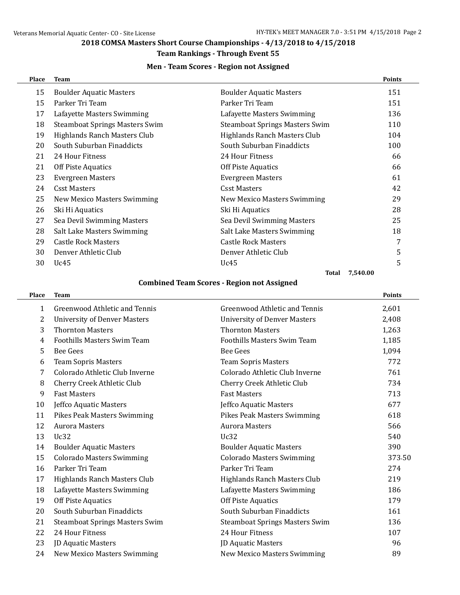# **2018 COMSA Masters Short Course Championships - 4/13/2018 to 4/15/2018**

### **Team Rankings - Through Event 55**

#### **Men - Team Scores - Region not Assigned**

| Place | <b>Team</b>                           |                                       | <b>Points</b> |
|-------|---------------------------------------|---------------------------------------|---------------|
| 15    | <b>Boulder Aquatic Masters</b>        | <b>Boulder Aquatic Masters</b>        | 151           |
| 15    | Parker Tri Team                       | Parker Tri Team                       | 151           |
| 17    | Lafayette Masters Swimming            | Lafayette Masters Swimming            | 136           |
| 18    | <b>Steamboat Springs Masters Swim</b> | <b>Steamboat Springs Masters Swim</b> | 110           |
| 19    | Highlands Ranch Masters Club          | Highlands Ranch Masters Club          | 104           |
| 20    | South Suburban Finaddicts             | South Suburban Finaddicts             | 100           |
| 21    | 24 Hour Fitness                       | 24 Hour Fitness                       | 66            |
| 21    | Off Piste Aquatics                    | Off Piste Aquatics                    | 66            |
| 23    | <b>Evergreen Masters</b>              | <b>Evergreen Masters</b>              | 61            |
| 24    | <b>Csst Masters</b>                   | <b>Csst Masters</b>                   | 42            |
| 25    | New Mexico Masters Swimming           | New Mexico Masters Swimming           | 29            |
| 26    | Ski Hi Aquatics                       | Ski Hi Aquatics                       | 28            |
| 27    | Sea Devil Swimming Masters            | Sea Devil Swimming Masters            | 25            |
| 28    | Salt Lake Masters Swimming            | Salt Lake Masters Swimming            | 18            |
| 29    | Castle Rock Masters                   | <b>Castle Rock Masters</b>            | 7             |
| 30    | Denver Athletic Club                  | Denver Athletic Club                  | 5             |
| 30    | Uc45                                  | Uc45                                  | 5             |
|       |                                       | Total                                 | 7,540.00      |

## **Combined Team Scores - Region not Assigned**

| Place        | <b>Team</b>                           |                                       | <b>Points</b> |
|--------------|---------------------------------------|---------------------------------------|---------------|
| $\mathbf{1}$ | Greenwood Athletic and Tennis         | Greenwood Athletic and Tennis         | 2,601         |
| 2            | <b>University of Denver Masters</b>   | <b>University of Denver Masters</b>   | 2,408         |
| 3            | <b>Thornton Masters</b>               | <b>Thornton Masters</b>               | 1,263         |
| 4            | Foothills Masters Swim Team           | Foothills Masters Swim Team           | 1,185         |
| 5            | <b>Bee Gees</b>                       | <b>Bee Gees</b>                       | 1,094         |
| 6            | <b>Team Sopris Masters</b>            | <b>Team Sopris Masters</b>            | 772           |
| 7            | Colorado Athletic Club Inverne        | Colorado Athletic Club Inverne        | 761           |
| 8            | Cherry Creek Athletic Club            | Cherry Creek Athletic Club            | 734           |
| 9            | <b>Fast Masters</b>                   | <b>Fast Masters</b>                   | 713           |
| 10           | Jeffco Aquatic Masters                | Jeffco Aquatic Masters                | 677           |
| 11           | Pikes Peak Masters Swimming           | Pikes Peak Masters Swimming           | 618           |
| 12           | <b>Aurora Masters</b>                 | <b>Aurora Masters</b>                 | 566           |
| 13           | Uc32                                  | Uc32                                  | 540           |
| 14           | <b>Boulder Aquatic Masters</b>        | <b>Boulder Aquatic Masters</b>        | 390           |
| 15           | <b>Colorado Masters Swimming</b>      | <b>Colorado Masters Swimming</b>      | 373.50        |
| 16           | Parker Tri Team                       | Parker Tri Team                       | 274           |
| 17           | Highlands Ranch Masters Club          | Highlands Ranch Masters Club          | 219           |
| 18           | Lafayette Masters Swimming            | Lafayette Masters Swimming            | 186           |
| 19           | Off Piste Aquatics                    | Off Piste Aquatics                    | 179           |
| 20           | South Suburban Finaddicts             | South Suburban Finaddicts             | 161           |
| 21           | <b>Steamboat Springs Masters Swim</b> | <b>Steamboat Springs Masters Swim</b> | 136           |
| 22           | 24 Hour Fitness                       | 24 Hour Fitness                       | 107           |
| 23           | JD Aquatic Masters                    | JD Aquatic Masters                    | 96            |
| 24           | <b>New Mexico Masters Swimming</b>    | <b>New Mexico Masters Swimming</b>    | 89            |